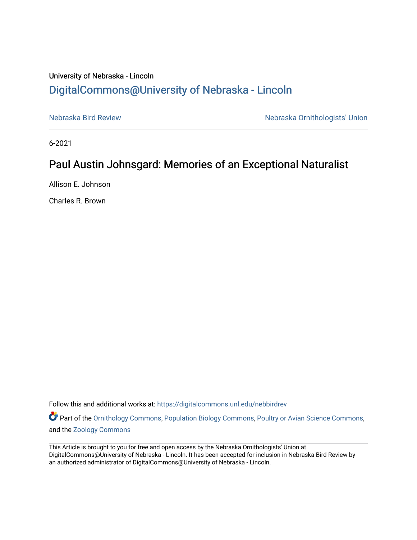## University of Nebraska - Lincoln [DigitalCommons@University of Nebraska - Lincoln](https://digitalcommons.unl.edu/)

[Nebraska Bird Review](https://digitalcommons.unl.edu/nebbirdrev) [Nebraska Ornithologists' Union](https://digitalcommons.unl.edu/nebornithologists) 

6-2021

## Paul Austin Johnsgard: Memories of an Exceptional Naturalist

Allison E. Johnson

Charles R. Brown

Follow this and additional works at: [https://digitalcommons.unl.edu/nebbirdrev](https://digitalcommons.unl.edu/nebbirdrev?utm_source=digitalcommons.unl.edu%2Fnebbirdrev%2F1495&utm_medium=PDF&utm_campaign=PDFCoverPages)

Part of the [Ornithology Commons,](http://network.bepress.com/hgg/discipline/1190?utm_source=digitalcommons.unl.edu%2Fnebbirdrev%2F1495&utm_medium=PDF&utm_campaign=PDFCoverPages) [Population Biology Commons](http://network.bepress.com/hgg/discipline/19?utm_source=digitalcommons.unl.edu%2Fnebbirdrev%2F1495&utm_medium=PDF&utm_campaign=PDFCoverPages), [Poultry or Avian Science Commons,](http://network.bepress.com/hgg/discipline/80?utm_source=digitalcommons.unl.edu%2Fnebbirdrev%2F1495&utm_medium=PDF&utm_campaign=PDFCoverPages) and the [Zoology Commons](http://network.bepress.com/hgg/discipline/81?utm_source=digitalcommons.unl.edu%2Fnebbirdrev%2F1495&utm_medium=PDF&utm_campaign=PDFCoverPages) 

This Article is brought to you for free and open access by the Nebraska Ornithologists' Union at DigitalCommons@University of Nebraska - Lincoln. It has been accepted for inclusion in Nebraska Bird Review by an authorized administrator of DigitalCommons@University of Nebraska - Lincoln.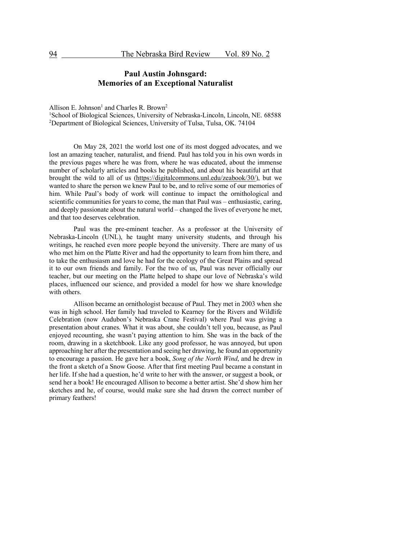## **Paul Austin Johnsgard: Memories of an Exceptional Naturalist**

Allison E. Johnson<sup>1</sup> and Charles R. Brown<sup>2</sup>

<sup>1</sup>School of Biological Sciences, University of Nebraska-Lincoln, Lincoln, NE. 68588 <sup>2</sup>Department of Biological Sciences, University of Tulsa, Tulsa, OK. 74104

On May 28, 2021 the world lost one of its most dogged advocates, and we lost an amazing teacher, naturalist, and friend. Paul has told you in his own words in the previous pages where he was from, where he was educated, about the immense number of scholarly articles and books he published, and about his beautiful art that brought the wild to all of us (https://digitalcommons.unl.edu/zeabook/30/), but we wanted to share the person we knew Paul to be, and to relive some of our memories of him. While Paul's body of work will continue to impact the ornithological and scientific communities for years to come, the man that Paul was – enthusiastic, caring, and deeply passionate about the natural world – changed the lives of everyone he met, and that too deserves celebration.

Paul was the pre-eminent teacher. As a professor at the University of Nebraska-Lincoln (UNL), he taught many university students, and through his writings, he reached even more people beyond the university. There are many of us who met him on the Platte River and had the opportunity to learn from him there, and to take the enthusiasm and love he had for the ecology of the Great Plains and spread it to our own friends and family. For the two of us, Paul was never officially our teacher, but our meeting on the Platte helped to shape our love of Nebraska's wild places, influenced our science, and provided a model for how we share knowledge with others.

Allison became an ornithologist because of Paul. They met in 2003 when she was in high school. Her family had traveled to Kearney for the Rivers and Wildlife Celebration (now Audubon's Nebraska Crane Festival) where Paul was giving a presentation about cranes. What it was about, she couldn't tell you, because, as Paul enjoyed recounting, she wasn't paying attention to him. She was in the back of the room, drawing in a sketchbook. Like any good professor, he was annoyed, but upon approaching her after the presentation and seeing her drawing, he found an opportunity to encourage a passion. He gave her a book, *Song of the North Wind*, and he drew in the front a sketch of a Snow Goose. After that first meeting Paul became a constant in her life. If she had a question, he'd write to her with the answer, or suggest a book, or send her a book! He encouraged Allison to become a better artist. She'd show him her sketches and he, of course, would make sure she had drawn the correct number of primary feathers!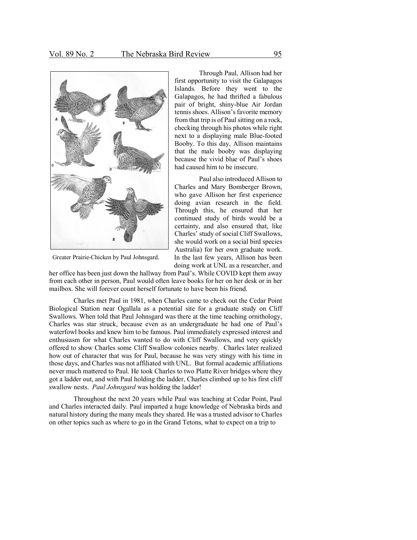

Greater Prairie-Chicken by Paul Johnsgard.

Through Paul, Allison had her first opportunity to visit the Galapagos Islands. Before they went to the Galapagos, he had thrifted a fabulous pair of bright, shiny-blue Air Jordan tennis shoes. Allison's favorite memory from that trip is of Paul sitting on a rock, checking through his photos while right next to a displaying male Blue-footed Booby. To this day, Allison maintains that the male booby was displaying because the vivid blue of Paul's shoes had caused him to be insecure.

Paul also introduced Allison to Charles and Mary Bomberger Brown, who gave Allison her first experience doing avian research in the field. Through this, he ensured that her continued study of birds would be a certainty, and also ensured that, like Charles' study of social Cliff Swallows, she would work on a social bird species Australia) for her own graduate work. In the last few years, Allison has been doing work at UNL as a researcher, and

her office has been just down the hallway from Paul's. While COVID kept them away from each other in person, Paul would often leave books for her on her desk or in her mailbox. She will forever count herself fortunate to have been his friend.

Charles met Paul in 1981, when Charles came to check out the Cedar Point Biological Station near Ogallala as a potential site for a graduate study on Cliff Swallows. When told that Paul Johnsgard was there at the time teaching ornithology, Charles was star struck, because even as an undergraduate he had one of Paul's waterfowl books and knew him to be famous. Paul immediately expressed interest and enthusiasm for what Charles wanted to do with Cliff Swallows, and very quickly offered to show Charles some Cliff Swallow colonies nearby. Charles later realized how out of character that was for Paul, because he was very stingy with his time in those days, and Charles was not affiliated with UNL. But formal academic affiliations never much mattered to Paul. He took Charles to two Platte River bridges where they got a ladder out, and with Paul holding the ladder, Charles climbed up to his first cliff swallow nests. *Paul Johnsgard* was holding the ladder!

Throughout the next 20 years while Paul was teaching at Cedar Point, Paul and Charles interacted daily. Paul imparted a huge knowledge of Nebraska birds and natural history during the many meals they shared. He was a trusted advisor to Charles on other topics such as where to go in the Grand Tetons, what to expect on a trip to